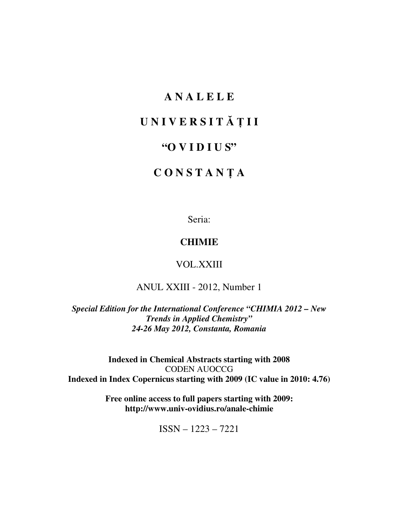# **A N A L E L E**

# **U N I V E R S I T** Ă Ţ **I I**

# **"O V I D I U S"**

# **C O N S T A N** Ţ **A**

Seria:

# **CHIMIE**

VOL.XXIII

ANUL XXIII - 2012, Number 1

*Special Edition for the International Conference "CHIMIA 2012 – New Trends in Applied Chemistry" 24-26 May 2012, Constanta, Romania* 

**Indexed in Chemical Abstracts starting with 2008**  CODEN AUOCCG **Indexed in Index Copernicus starting with 2009 (IC value in 2010: 4.76)** 

> **Free online access to full papers starting with 2009: http://www.univ-ovidius.ro/anale-chimie**

> > ISSN – 1223 – 7221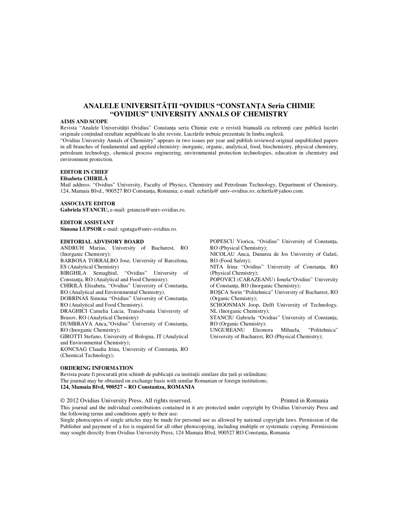# **ANALELE UNIVERSIT**ĂŢ**II "OVIDIUS "CONSTAN**Ţ**A Seria CHIMIE "OVIDIUS" UNIVERSITY ANNALS OF CHEMISTRY**

#### **AIMS AND SCOPE**

Revista "Analele Universităţii Ovidius" Constanţa seria Chimie este o revistă bianuală cu referenţi care publică lucrări originale conţinând rezultate nepublicate în alte reviste. Lucrările trebuie prezentate în limba engleză.

"Ovidius University Annals of Chemistry" appears in two issues per year and publish reviewed original unpublished papers in all branches of fundamental and applied chemistry: inorganic, organic, analytical, food, biochemistry, physical chemistry, petroleum technology, chemical process engineering, environmental protection technologies, education in chemistry and environment protection.

## **EDITOR IN CHIEF**

#### **Elisabeta CHIRIL**Ă

Mail address: "Ovidius" University, Faculty of Physics, Chemistry and Petroleum Technology, Department of Chemistry, 124, Mamaia Blvd., 900527 RO Constanţa, Romania; e-mail: echirila@ univ-ovidius.ro; echirila@yahoo.com.

#### **ASSOCIATE EDITOR**

**Gabriela STANCIU,** e-mail: gstanciu@univ-ovidius.ro.

#### **EDITOR ASSISTANT**

**Simona LUPSOR** e-mail: sgutaga@univ-ovidius.ro.

#### **EDITORIAL ADVISORY BOARD**

ANDRUH Marius, University of Bucharest, RO (Inorganic Chemistry);

BARBOSA TORRALBO Jose, University of Barcelona, ES (Analytical Chemistry) BIRGHILA Semaghiul, "Ovidius" University of

Constanţa, RO (Analytical and Food Chemistry).

CHIRILĂ Elisabeta, "Ovidius" University of Constanţa, RO (Analytical and Environmental Chemistry).

DOBRINAS Simona "Ovidius" University of Constanţa, RO (Analytical and Food Chemistry).

DRAGHICI Camelia Lucia, Transilvania University of Brasov, RO (Analytical Chemistry)

DUMBRAVA Anca,"Ovidius" University of Constanţa, RO (Inorganic Chemistry);

GIROTTI Stefano, University of Bologna, IT (Analytical and Environmental Chemistry);

KONCSAG Claudia Irina, University of Constanţa, RO (Chemical Technology);

#### **ORDERING INFORMATION**

Revista poate fi procurată prin schimb de publicații cu instituții similare din țară și străinătate; The journal may be obtained on exchange basis with similar Romanian or foreign institutions; **124, Mamaia Blvd, 900527 – RO Constantza, ROMANIA**

### © 2012 Ovidius University Press. All rights reserved. Printed in Romania

This journal and the individual contributions contained in it are protected under copyright by Ovidius University Press and the following terms and conditions apply to their use:

Single photocopies of single articles may be made for personal use as allowed by national copyright laws. Permission of the Publisher and payment of a fee is required for all other photocopying, including multiple or systematic copying. Permissions may sought directly from Ovidius University Press, 124 Mamaia Blvd, 900527 RO Constanta, Romania

RO (Physical Chemistry); NICOLAU Anca, Dunarea de Jos University of Galati, RO (Food Safety); NITA Irina "Ovidius" University of Constanţa, RO (Physical Chemistry); POPOVICI (CARAZEANU) Ionela"Ovidius" University of Constanţa, RO (Inorganic Chemistry); ROŞCA Sorin "Politehnica" University of Bucharest, RO (Organic Chemistry); SCHOONMAN Joop, Delft University of Technology,

POPESCU Viorica, "Ovidius" University of Constanţa,

NL (Inorganic Chemistry);

STANCIU Gabriela "Ovidius" University of Constanța, RO (Organic Chemistry);

UNGUREANU Eleonora Mihaela, "Politehnica" University of Bucharest, RO (Physical Chemistry);